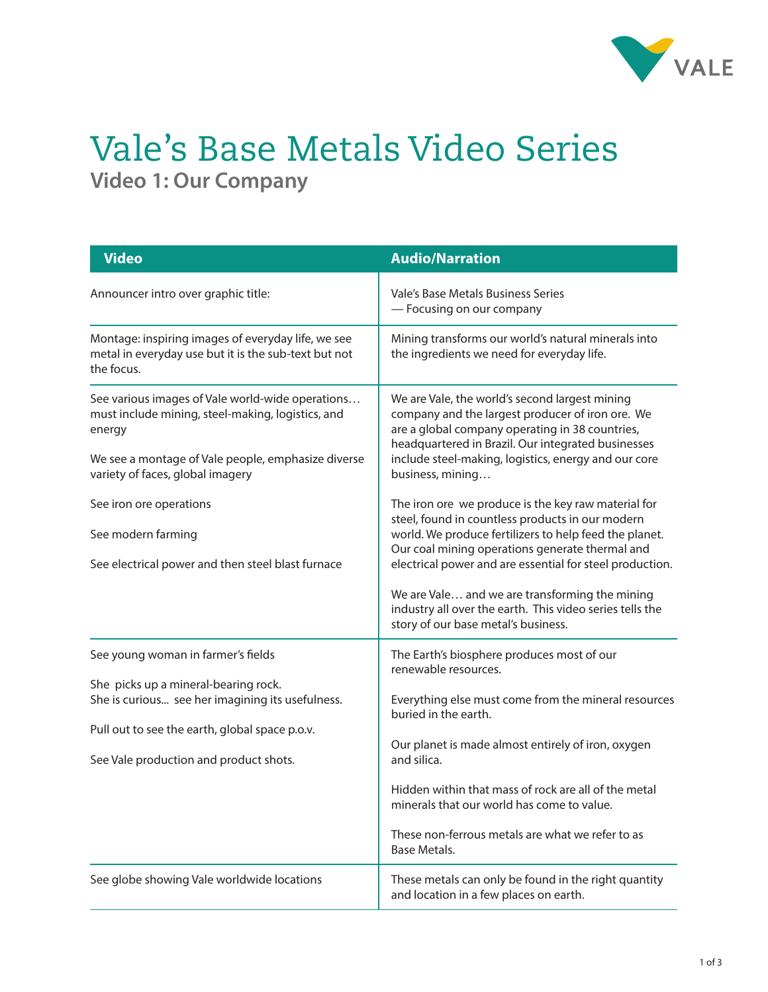

## Vale's Base Metals Video Series **Video 1: Our Company**

| <b>Video</b>                                                                                                                                                                                                               | <b>Audio/Narration</b>                                                                                                                                                                                                                                                                                                                                                                                                                |
|----------------------------------------------------------------------------------------------------------------------------------------------------------------------------------------------------------------------------|---------------------------------------------------------------------------------------------------------------------------------------------------------------------------------------------------------------------------------------------------------------------------------------------------------------------------------------------------------------------------------------------------------------------------------------|
| Announcer intro over graphic title:                                                                                                                                                                                        | Vale's Base Metals Business Series<br>- Focusing on our company                                                                                                                                                                                                                                                                                                                                                                       |
| Montage: inspiring images of everyday life, we see<br>metal in everyday use but it is the sub-text but not<br>the focus.                                                                                                   | Mining transforms our world's natural minerals into<br>the ingredients we need for everyday life.                                                                                                                                                                                                                                                                                                                                     |
| See various images of Vale world-wide operations<br>must include mining, steel-making, logistics, and<br>energy<br>We see a montage of Vale people, emphasize diverse<br>variety of faces, global imagery                  | We are Vale, the world's second largest mining<br>company and the largest producer of iron ore. We<br>are a global company operating in 38 countries,<br>headquartered in Brazil. Our integrated businesses<br>include steel-making, logistics, energy and our core<br>business, mining                                                                                                                                               |
| See iron ore operations<br>See modern farming<br>See electrical power and then steel blast furnace                                                                                                                         | The iron ore we produce is the key raw material for<br>steel, found in countless products in our modern<br>world. We produce fertilizers to help feed the planet.<br>Our coal mining operations generate thermal and<br>electrical power and are essential for steel production.<br>We are Vale and we are transforming the mining<br>industry all over the earth. This video series tells the<br>story of our base metal's business. |
| See young woman in farmer's fields<br>She picks up a mineral-bearing rock.<br>She is curious see her imagining its usefulness.<br>Pull out to see the earth, global space p.o.v.<br>See Vale production and product shots. | The Earth's biosphere produces most of our<br>renewable resources.<br>Everything else must come from the mineral resources<br>buried in the earth.<br>Our planet is made almost entirely of iron, oxygen<br>and silica.<br>Hidden within that mass of rock are all of the metal<br>minerals that our world has come to value.<br>These non-ferrous metals are what we refer to as<br><b>Base Metals.</b>                              |
| See globe showing Vale worldwide locations                                                                                                                                                                                 | These metals can only be found in the right quantity<br>and location in a few places on earth.                                                                                                                                                                                                                                                                                                                                        |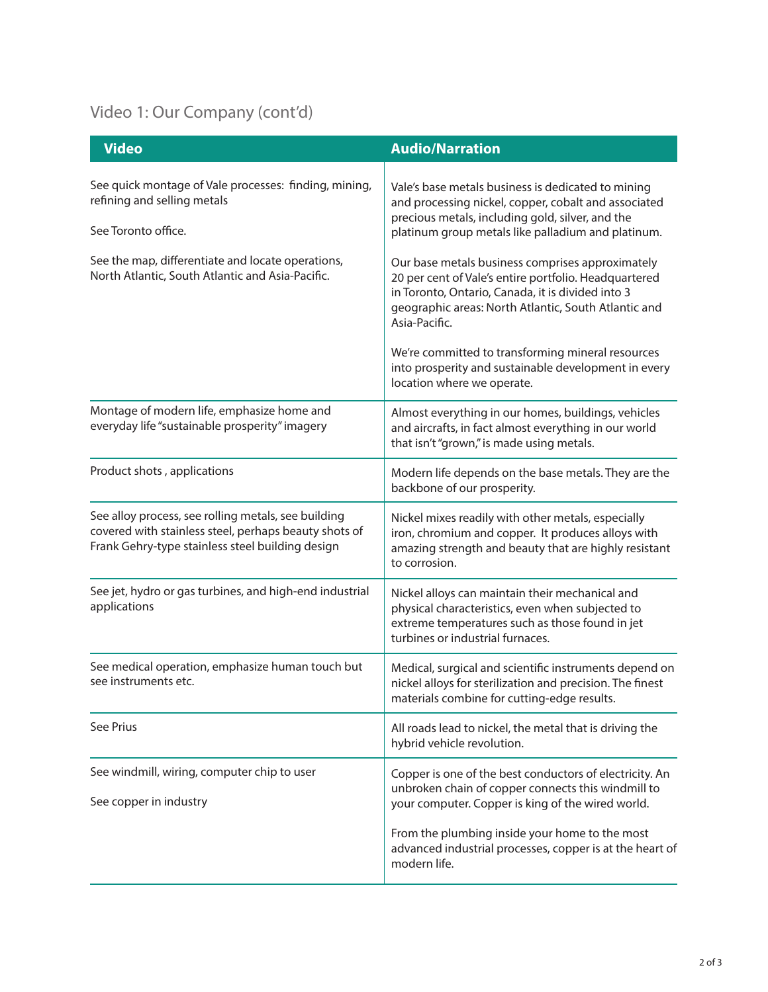## Video 1: Our Company (cont'd)

| <b>Video</b>                                                                                                                                                     | <b>Audio/Narration</b>                                                                                                                                                                                                                  |
|------------------------------------------------------------------------------------------------------------------------------------------------------------------|-----------------------------------------------------------------------------------------------------------------------------------------------------------------------------------------------------------------------------------------|
| See quick montage of Vale processes: finding, mining,<br>refining and selling metals<br>See Toronto office.                                                      | Vale's base metals business is dedicated to mining<br>and processing nickel, copper, cobalt and associated<br>precious metals, including gold, silver, and the<br>platinum group metals like palladium and platinum.                    |
| See the map, differentiate and locate operations,<br>North Atlantic, South Atlantic and Asia-Pacific.                                                            | Our base metals business comprises approximately<br>20 per cent of Vale's entire portfolio. Headquartered<br>in Toronto, Ontario, Canada, it is divided into 3<br>geographic areas: North Atlantic, South Atlantic and<br>Asia-Pacific. |
|                                                                                                                                                                  | We're committed to transforming mineral resources<br>into prosperity and sustainable development in every<br>location where we operate.                                                                                                 |
| Montage of modern life, emphasize home and<br>everyday life "sustainable prosperity" imagery                                                                     | Almost everything in our homes, buildings, vehicles<br>and aircrafts, in fact almost everything in our world<br>that isn't "grown," is made using metals.                                                                               |
| Product shots, applications                                                                                                                                      | Modern life depends on the base metals. They are the<br>backbone of our prosperity.                                                                                                                                                     |
| See alloy process, see rolling metals, see building<br>covered with stainless steel, perhaps beauty shots of<br>Frank Gehry-type stainless steel building design | Nickel mixes readily with other metals, especially<br>iron, chromium and copper. It produces alloys with<br>amazing strength and beauty that are highly resistant<br>to corrosion.                                                      |
| See jet, hydro or gas turbines, and high-end industrial<br>applications                                                                                          | Nickel alloys can maintain their mechanical and<br>physical characteristics, even when subjected to<br>extreme temperatures such as those found in jet<br>turbines or industrial furnaces.                                              |
| See medical operation, emphasize human touch but<br>see instruments etc.                                                                                         | Medical, surgical and scientific instruments depend on<br>nickel alloys for sterilization and precision. The finest<br>materials combine for cutting-edge results.                                                                      |
| See Prius                                                                                                                                                        | All roads lead to nickel, the metal that is driving the<br>hybrid vehicle revolution.                                                                                                                                                   |
| See windmill, wiring, computer chip to user<br>See copper in industry                                                                                            | Copper is one of the best conductors of electricity. An<br>unbroken chain of copper connects this windmill to<br>your computer. Copper is king of the wired world.                                                                      |
|                                                                                                                                                                  | From the plumbing inside your home to the most<br>advanced industrial processes, copper is at the heart of<br>modern life.                                                                                                              |